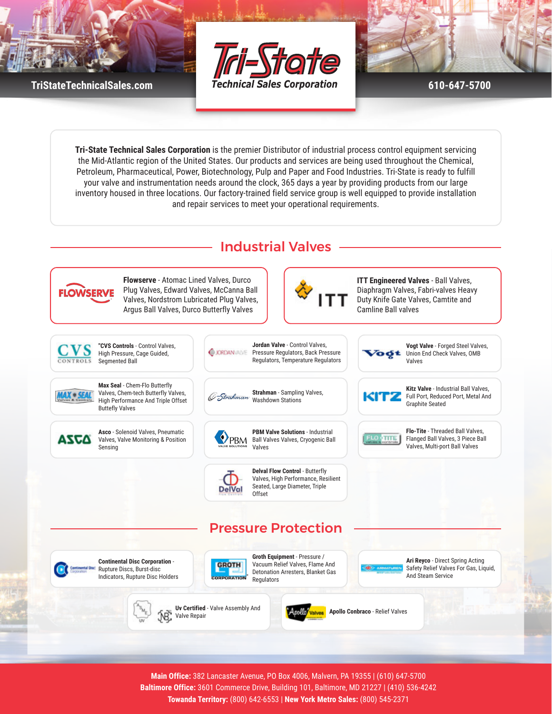





**610-647-5700**

**Tri-State Technical Sales Corporation** is the premier Distributor of industrial process control equipment servicing the Mid-Atlantic region of the United States. Our products and services are being used throughout the Chemical, Petroleum, Pharmaceutical, Power, Biotechnology, Pulp and Paper and Food Industries. Tri-State is ready to fulfill your valve and instrumentation needs around the clock, 365 days a year by providing products from our large inventory housed in three locations. Our factory-trained field service group is well equipped to provide installation and repair services to meet your operational requirements.

## Industrial Valves



**Main Office:** 382 Lancaster Avenue, PO Box 4006, Malvern, PA 19355 | (610) 647-5700 **Baltimore Office:** 3601 Commerce Drive, Building 101, Baltimore, MD 21227 | (410) 536-4242 **Towanda Territory:** (800) 642-6553 | **New York Metro Sales:** (800) 545-2371